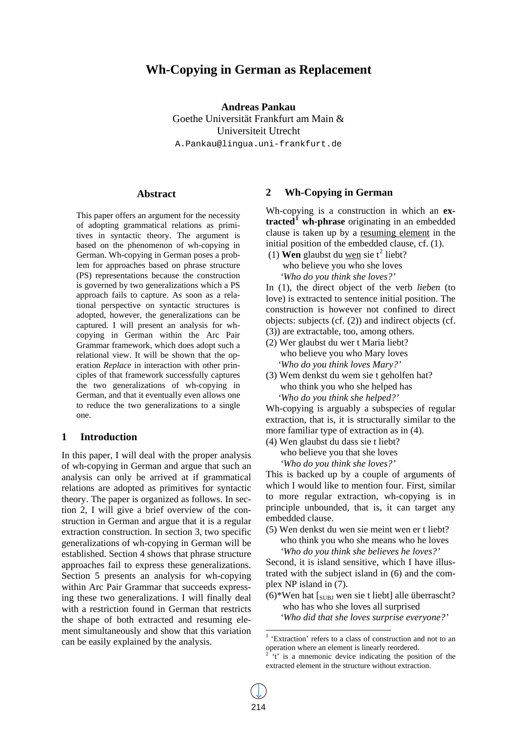# **Wh-Copying in German as Replacement**

**Andreas Pankau**  Goethe Universität Frankfurt am Main & Universiteit Utrecht A.Pankau@lingua.uni-frankfurt.de

## **Abstract**

This paper offers an argument for the necessity of adopting grammatical relations as primitives in syntactic theory. The argument is based on the phenomenon of wh-copying in German. Wh-copying in German poses a problem for approaches based on phrase structure (PS) representations because the construction is governed by two generalizations which a PS approach fails to capture. As soon as a relational perspective on syntactic structures is adopted, however, the generalizations can be captured. I will present an analysis for whcopying in German within the Arc Pair Grammar framework, which does adopt such a relational view. It will be shown that the operation *Replace* in interaction with other principles of that framework successfully captures the two generalizations of wh-copying in German, and that it eventually even allows one to reduce the two generalizations to a single one.

## **1 Introduction**

In this paper, I will deal with the proper analysis of wh-copying in German and argue that such an analysis can only be arrived at if grammatical relations are adopted as primitives for syntactic theory. The paper is organized as follows. In section 2, I will give a brief overview of the construction in German and argue that it is a regular extraction construction. In section 3, two specific generalizations of wh-copying in German will be established. Section 4 shows that phrase structure approaches fail to express these generalizations. Section 5 presents an analysis for wh-copying within Arc Pair Grammar that succeeds expressing these two generalizations. I will finally deal with a restriction found in German that restricts the shape of both extracted and resuming element simultaneously and show that this variation can be easily explained by the analysis.

## **2 Wh-Copying in German**

Wh-copying is a construction in which an **extracted<sup>1</sup> wh-phrase** originating in an embedded clause is taken up by a resuming element in the initial position of the embedded clause, cf. (1).

(1) **Wen** glaubst du <u>wen</u> sie  $t^2$  liebt? who believe you who she loves  *'Who do you think she loves?'*

In (1), the direct object of the verb *lieben* (to love) is extracted to sentence initial position. The construction is however not confined to direct objects: subjects (cf. (2)) and indirect objects (cf. (3)) are extractable, too, among others.

- (2) Wer glaubst du wer t Maria liebt? who believe you who Mary loves *'Who do you think loves Mary?'*
- (3) Wem denkst du wem sie t geholfen hat? who think you who she helped has *'Who do you think she helped?'*

Wh-copying is arguably a subspecies of regular extraction, that is, it is structurally similar to the more familiar type of extraction as in (4).

(4) Wen glaubst du dass sie t liebt? who believe you that she loves  *'Who do you think she loves?'* 

This is backed up by a couple of arguments of which I would like to mention four. First, similar to more regular extraction, wh-copying is in principle unbounded, that is, it can target any embedded clause.

(5) Wen denkst du wen sie meint wen er t liebt? who think you who she means who he loves  *'Who do you think she believes he loves?'*

Second, it is island sensitive, which I have illustrated with the subject island in (6) and the complex NP island in (7).

 $(6)$ <sup>\*</sup>Wen hat  $\lceil_{SUBJ}$  wen sie t liebt] alle überrascht? who has who she loves all surprised  *'Who did that she loves surprise everyone?'*

 1 'Extraction' refers to a class of construction and not to an operation where an element is linearly reordered.<br> $2 \div 2$  is a magnesial davise indicating the negative

 <sup>&#</sup>x27;t' is a mnemonic device indicating the position of the extracted element in the structure without extraction.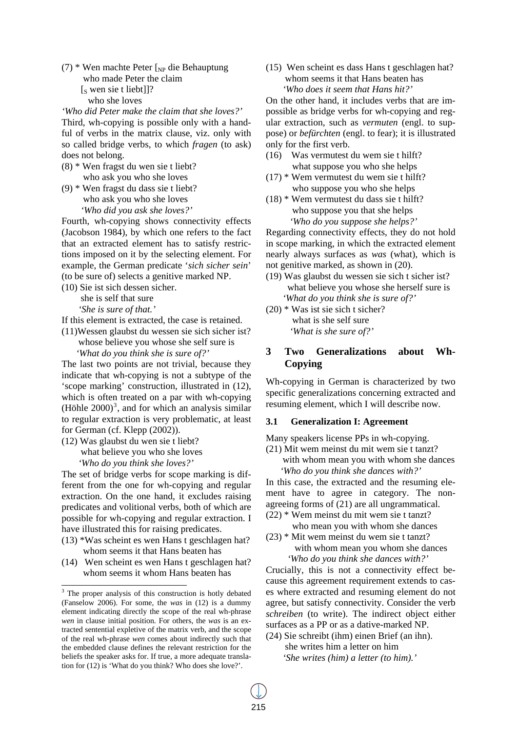(7) \* Wen machte Peter  $\lceil_{NP}\right]$  die Behauptung who made Peter the claim  $[s$  wen sie t liebt]]? who she loves

*'Who did Peter make the claim that she loves?'* 

Third, wh-copying is possible only with a handful of verbs in the matrix clause, viz. only with so called bridge verbs, to which *fragen* (to ask) does not belong.

- (8) \* Wen fragst du wen sie t liebt? who ask you who she loves
- (9) \* Wen fragst du dass sie t liebt? who ask you who she loves  *'Who did you ask she loves?'*

Fourth, wh-copying shows connectivity effects (Jacobson 1984), by which one refers to the fact that an extracted element has to satisfy restrictions imposed on it by the selecting element. For example, the German predicate '*sich sicher sein*' (to be sure of) selects a genitive marked NP.

(10) Sie ist sich dessen sicher.

she is self that sure

*'She is sure of that.'* 

If this element is extracted, the case is retained.

(11)Wessen glaubst du wessen sie sich sicher ist? whose believe you whose she self sure is *'What do you think she is sure of?'* 

The last two points are not trivial, because they indicate that wh-copying is not a subtype of the 'scope marking' construction, illustrated in (12), which is often treated on a par with wh-copying (Höhle  $2000$ )<sup>3</sup>, and for which an analysis similar to regular extraction is very problematic, at least for German (cf. Klepp (2002)).

(12) Was glaubst du wen sie t liebt? what believe you who she loves  *'Who do you think she loves?'*

The set of bridge verbs for scope marking is different from the one for wh-copying and regular extraction. On the one hand, it excludes raising predicates and volitional verbs, both of which are possible for wh-copying and regular extraction. I have illustrated this for raising predicates.

- (13) \*Was scheint es wen Hans t geschlagen hat? whom seems it that Hans beaten has
- (14) Wen scheint es wen Hans t geschlagen hat? whom seems it whom Hans beaten has

(15) Wen scheint es dass Hans t geschlagen hat? whom seems it that Hans beaten has  *'Who does it seem that Hans hit?'* 

On the other hand, it includes verbs that are impossible as bridge verbs for wh-copying and regular extraction, such as *vermuten* (engl. to suppose) or *befürchten* (engl. to fear); it is illustrated only for the first verb.

- (16) Was vermutest du wem sie t hilft? what suppose you who she helps
- (17) \* Wem vermutest du wem sie t hilft? who suppose you who she helps
- (18) \* Wem vermutest du dass sie t hilft? who suppose you that she helps  *'Who do you suppose she helps?'*

Regarding connectivity effects, they do not hold in scope marking, in which the extracted element nearly always surfaces as *was* (what), which is not genitive marked, as shown in (20).

- (19) Was glaubst du wessen sie sich t sicher ist? what believe you whose she herself sure is *'What do you think she is sure of?'*
- (20) \* Was ist sie sich t sicher? what is she self sure *'What is she sure of?'*

## **3 Two Generalizations about Wh-Copying**

Wh-copying in German is characterized by two specific generalizations concerning extracted and resuming element, which I will describe now.

## **3.1 Generalization I: Agreement**

Many speakers license PPs in wh-copying.

(21) Mit wem meinst du mit wem sie t tanzt? with whom mean you with whom she dances  *'Who do you think she dances with?'* 

In this case, the extracted and the resuming element have to agree in category. The nonagreeing forms of (21) are all ungrammatical. (22) \* Wem meinst du mit wem sie t tanzt?

- who mean you with whom she dances
- (23) \* Mit wem meinst du wem sie t tanzt? with whom mean you whom she dances  *'Who do you think she dances with?'*

Crucially, this is not a connectivity effect because this agreement requirement extends to cases where extracted and resuming element do not agree, but satisfy connectivity. Consider the verb *schreiben* (to write). The indirect object either surfaces as a PP or as a dative-marked NP. (24) Sie schreibt (ihm) einen Brief (an ihn).

 she writes him a letter on him  *'She writes (him) a letter (to him).'*

<sup>&</sup>lt;sup>3</sup> The proper analysis of this construction is hotly debated (Fanselow 2006). For some, the *was* in (12) is a dummy element indicating directly the scope of the real wh-phrase *wen* in clause initial position. For others, the *was* is an extracted sentential expletive of the matrix verb, and the scope of the real wh-phrase *wen* comes about indirectly such that the embedded clause defines the relevant restriction for the beliefs the speaker asks for. If true, a more adequate translation for (12) is 'What do you think? Who does she love?'.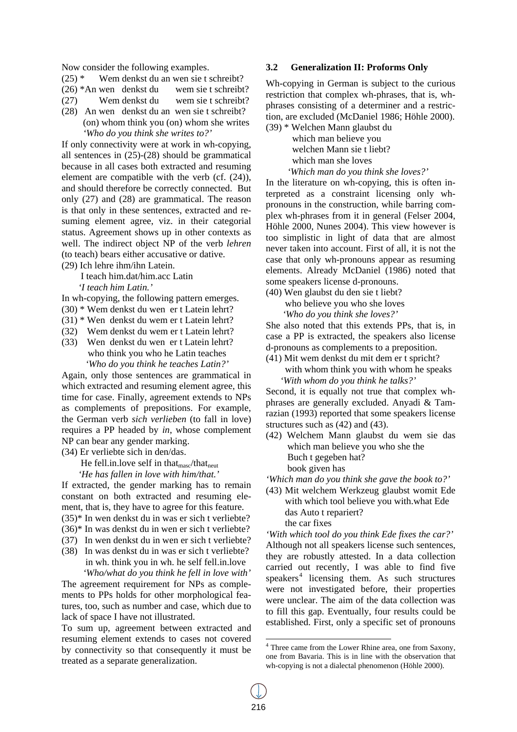Now consider the following examples.

(25) \* Wem denkst du an wen sie t schreibt?

(26) \*An wen denkst du wem sie t schreibt?

(27) Wem denkst du wem sie t schreibt?

(28) An wen denkst du an wen sie t schreibt? (on) whom think you (on) whom she writes  *'Who do you think she writes to?'* 

If only connectivity were at work in wh-copying, all sentences in (25)-(28) should be grammatical because in all cases both extracted and resuming element are compatible with the verb (cf. (24)), and should therefore be correctly connected. But only (27) and (28) are grammatical. The reason is that only in these sentences, extracted and resuming element agree, viz. in their categorial status. Agreement shows up in other contexts as well. The indirect object NP of the verb *lehren* (to teach) bears either accusative or dative.

(29) Ich lehre ihm/ihn Latein.

 I teach him.dat/him.acc Latin  *'I teach him Latin.'* 

In wh-copying, the following pattern emerges.

- (30) \* Wem denkst du wen er t Latein lehrt?
- (31) \* Wen denkst du wem er t Latein lehrt?
- (32) Wem denkst du wem er t Latein lehrt?
- (33) Wen denkst du wen er t Latein lehrt? who think you who he Latin teaches  *'Who do you think he teaches Latin?'*

Again, only those sentences are grammatical in which extracted and resuming element agree, this time for case. Finally, agreement extends to NPs as complements of prepositions. For example, the German verb *sich verlieben* (to fall in love) requires a PP headed by *in*, whose complement NP can bear any gender marking.

(34) Er verliebte sich in den/das.

He fell.in.love self in that $_{\text{masc}}$ /that $_{\text{neut}}$ 

 *'He has fallen in love with him/that.'* 

If extracted, the gender marking has to remain constant on both extracted and resuming element, that is, they have to agree for this feature.

- (35)\* In wen denkst du in was er sich t verliebte?
- (36)\* In was denkst du in wen er sich t verliebte?
- (37) In wen denkst du in wen er sich t verliebte?
- (38) In was denkst du in was er sich t verliebte? in wh. think you in wh. he self fell.in.love  *'Who/what do you think he fell in love with'*

The agreement requirement for NPs as complements to PPs holds for other morphological features, too, such as number and case, which due to lack of space I have not illustrated.

To sum up, agreement between extracted and resuming element extends to cases not covered by connectivity so that consequently it must be treated as a separate generalization.

## **3.2 Generalization II: Proforms Only**

Wh-copying in German is subject to the curious restriction that complex wh-phrases, that is, whphrases consisting of a determiner and a restriction, are excluded (McDaniel 1986; Höhle 2000).

(39) \* Welchen Mann glaubst du which man believe you welchen Mann sie t liebt? which man she loves  *'Which man do you think she loves?'* 

In the literature on wh-copying, this is often interpreted as a constraint licensing only whpronouns in the construction, while barring complex wh-phrases from it in general (Felser 2004, Höhle 2000, Nunes 2004). This view however is too simplistic in light of data that are almost never taken into account. First of all, it is not the case that only wh-pronouns appear as resuming elements. Already McDaniel (1986) noted that some speakers license d-pronouns.

(40) Wen glaubst du den sie t liebt? who believe you who she loves

 *'Who do you think she loves?'*

She also noted that this extends PPs, that is, in case a PP is extracted, the speakers also license d-pronouns as complements to a preposition.

(41) Mit wem denkst du mit dem er t spricht? with whom think you with whom he speaks  *'With whom do you think he talks?'* 

Second, it is equally not true that complex whphrases are generally excluded. Anyadi & Tamrazian (1993) reported that some speakers license structures such as (42) and (43).

(42) Welchem Mann glaubst du wem sie das which man believe you who she the Buch t gegeben hat? book given has

*'Which man do you think she gave the book to?'* 

(43) Mit welchem Werkzeug glaubst womit Ede with which tool believe you with.what Ede das Auto t repariert? the car fixes

*'With which tool do you think Ede fixes the car?'*  Although not all speakers license such sentences, they are robustly attested. In a data collection carried out recently, I was able to find five  $speakers<sup>4</sup> lieensing them. As such structures$ were not investigated before, their properties were unclear. The aim of the data collection was to fill this gap. Eventually, four results could be established. First, only a specific set of pronouns

 4 Three came from the Lower Rhine area, one from Saxony, one from Bavaria. This is in line with the observation that wh-copying is not a dialectal phenomenon (Höhle 2000).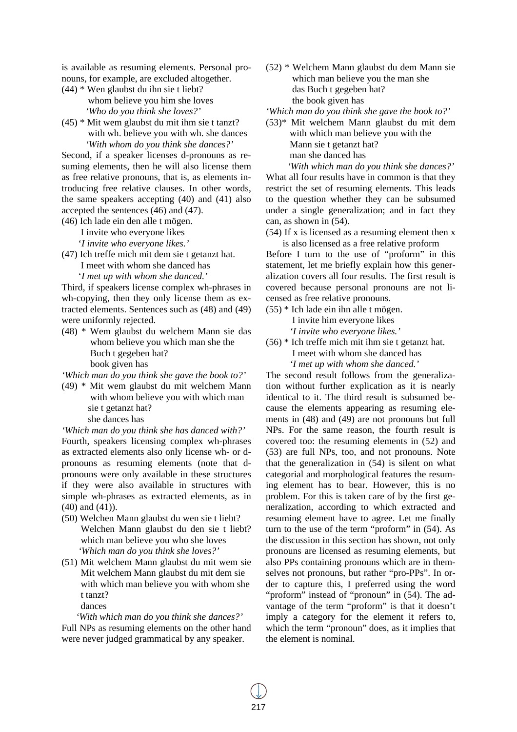is available as resuming elements. Personal pronouns, for example, are excluded altogether. (44) \* Wen glaubst du ihn sie t liebt?

- whom believe you him she loves  *'Who do you think she loves?'*
- (45) \* Mit wem glaubst du mit ihm sie t tanzt? with wh. believe you with wh. she dances  *'With whom do you think she dances?'*

Second, if a speaker licenses d-pronouns as resuming elements, then he will also license them as free relative pronouns, that is, as elements introducing free relative clauses. In other words, the same speakers accepting (40) and (41) also accepted the sentences (46) and (47).

(46) Ich lade ein den alle t mögen.

I invite who everyone likes

'*I invite who everyone likes.'*

(47) Ich treffe mich mit dem sie t getanzt hat. I meet with whom she danced has

'*I met up with whom she danced.'*

Third, if speakers license complex wh-phrases in wh-copying, then they only license them as extracted elements. Sentences such as (48) and (49) were uniformly rejected.

(48) \* Wem glaubst du welchem Mann sie das whom believe you which man she the Buch t gegeben hat? book given has

*'Which man do you think she gave the book to?'* 

(49) \* Mit wem glaubst du mit welchem Mann with whom believe you with which man sie t getanzt hat? she dances has

*'Which man do you think she has danced with?'* Fourth, speakers licensing complex wh-phrases as extracted elements also only license wh- or dpronouns as resuming elements (note that dpronouns were only available in these structures if they were also available in structures with simple wh-phrases as extracted elements, as in (40) and (41)).

- (50) Welchen Mann glaubst du wen sie t liebt? Welchen Mann glaubst du den sie t liebt? which man believe you who she loves  *'Which man do you think she loves?'*
- (51) Mit welchem Mann glaubst du mit wem sie Mit welchem Mann glaubst du mit dem sie with which man believe you with whom she t tanzt?
	- dances

 *'With which man do you think she dances?'* Full NPs as resuming elements on the other hand were never judged grammatical by any speaker.

(52) \* Welchem Mann glaubst du dem Mann sie which man believe you the man she das Buch t gegeben hat? the book given has

*'Which man do you think she gave the book to?'*

(53)\* Mit welchem Mann glaubst du mit dem with which man believe you with the Mann sie t getanzt hat? man she danced has  *'With which man do you think she dances?'*

What all four results have in common is that they restrict the set of resuming elements. This leads to the question whether they can be subsumed under a single generalization; and in fact they can, as shown in (54).

(54) If x is licensed as a resuming element then x is also licensed as a free relative proform

Before I turn to the use of "proform" in this statement, let me briefly explain how this generalization covers all four results. The first result is covered because personal pronouns are not licensed as free relative pronouns.

(55) \* Ich lade ein ihn alle t mögen.

I invite him everyone likes

 *'I invite who everyone likes.'* 

(56) \* Ich treffe mich mit ihm sie t getanzt hat.

I meet with whom she danced has

 *'I met up with whom she danced.'* 

The second result follows from the generalization without further explication as it is nearly identical to it. The third result is subsumed because the elements appearing as resuming elements in (48) and (49) are not pronouns but full NPs. For the same reason, the fourth result is covered too: the resuming elements in (52) and (53) are full NPs, too, and not pronouns. Note that the generalization in (54) is silent on what categorial and morphological features the resuming element has to bear. However, this is no problem. For this is taken care of by the first generalization, according to which extracted and resuming element have to agree. Let me finally turn to the use of the term "proform" in (54). As the discussion in this section has shown, not only pronouns are licensed as resuming elements, but also PPs containing pronouns which are in themselves not pronouns, but rather "pro-PPs". In order to capture this, I preferred using the word "proform" instead of "pronoun" in (54). The advantage of the term "proform" is that it doesn't imply a category for the element it refers to, which the term "pronoun" does, as it implies that the element is nominal.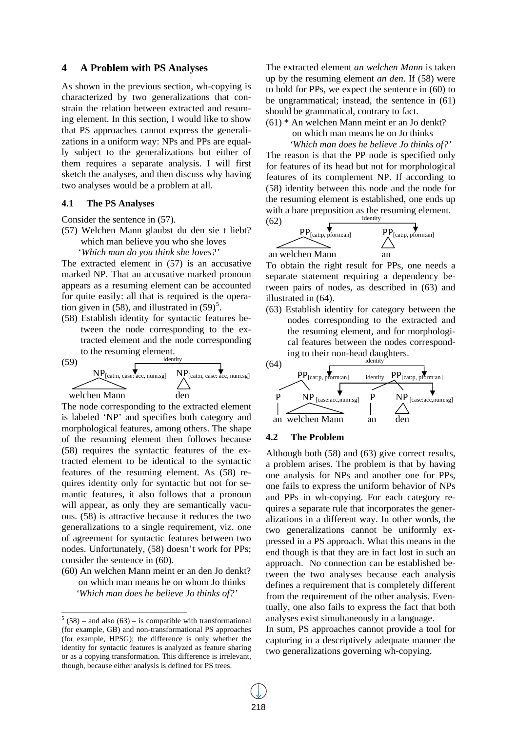#### **4 A Problem with PS Analyses**

As shown in the previous section, wh-copying is characterized by two generalizations that constrain the relation between extracted and resuming element. In this section, I would like to show that PS approaches cannot express the generalizations in a uniform way: NPs and PPs are equally subject to the generalizations but either of them requires a separate analysis. I will first sketch the analyses, and then discuss why having two analyses would be a problem at all.

## **4.1 The PS Analyses**

Consider the sentence in (57).

(57) Welchen Mann glaubst du den sie t liebt? which man believe you who she loves

'*Which man do you think she loves?'*

The extracted element in (57) is an accusative marked NP. That an accusative marked pronoun appears as a resuming element can be accounted for quite easily: all that is required is the operation given in (58), and illustrated in  $(59)^5$ .

(58) Establish identity for syntactic features be tween the node corresponding to the ex tracted element and the node corresponding to the resuming element.

$$
(59)
$$

$$
\underbrace{\text{NP}_{\text{[cat:n, case: acc, num.sg]}}}^{\text{identity}} \underbrace{\text{NP}_{\text{[cat:n, case: acc, num.sg]}}}_{\text{den}}
$$

The node corresponding to the extracted element is labeled 'NP' and specifies both category and morphological features, among others. The shape of the resuming element then follows because (58) requires the syntactic features of the extracted element to be identical to the syntactic features of the resuming element. As (58) requires identity only for syntactic but not for semantic features, it also follows that a pronoun will appear, as only they are semantically vacuous. (58) is attractive because it reduces the two generalizations to a single requirement, viz. one of agreement for syntactic features between two nodes. Unfortunately, (58) doesn't work for PPs; consider the sentence in (60).

(60) An welchen Mann meint er an den Jo denkt? on which man means he on whom Jo thinks  *'Which man does he believe Jo thinks of?'*

The extracted element *an welchen Mann* is taken up by the resuming element *an den*. If (58) were to hold for PPs, we expect the sentence in (60) to be ungrammatical; instead, the sentence in (61) should be grammatical, contrary to fact.

(61) \* An welchen Mann meint er an Jo denkt? on which man means he on Jo thinks

 *'Which man does he believe Jo thinks of?'* The reason is that the PP node is specified only for features of its head but not for morphological features of its complement NP. If according to (58) identity between this node and the node for the resuming element is established, one ends up with a bare preposition as the resuming element.

$$
(62)
$$
\n
$$
\underbrace{PP_{[cat:p, pform:an]}}_{\text{an wellchen Mann}}
$$
\n
$$
\underbrace{PP_{[cat:p, pform:an]}}_{\text{an}}
$$

To obtain the right result for PPs, one needs a separate statement requiring a dependency between pairs of nodes, as described in (63) and illustrated in (64).

(63) Establish identity for category between the nodes corresponding to the extracted and the resuming element, and for morphologi cal features between the nodes correspond ing to their non-head daughters.



#### **4.2 The Problem**

Although both (58) and (63) give correct results, a problem arises. The problem is that by having one analysis for NPs and another one for PPs, one fails to express the uniform behavior of NPs and PPs in wh-copying. For each category requires a separate rule that incorporates the generalizations in a different way. In other words, the two generalizations cannot be uniformly expressed in a PS approach. What this means in the end though is that they are in fact lost in such an approach. No connection can be established between the two analyses because each analysis defines a requirement that is completely different from the requirement of the other analysis. Eventually, one also fails to express the fact that both analyses exist simultaneously in a language.

In sum, PS approaches cannot provide a tool for capturing in a descriptively adequate manner the two generalizations governing wh-copying.

 $\frac{5(58)}{}$  – and also (63) – is compatible with transformational (for example, GB) and non-transformational PS approaches (for example, HPSG); the difference is only whether the identity for syntactic features is analyzed as feature sharing or as a copying transformation. This difference is irrelevant, though, because either analysis is defined for PS trees.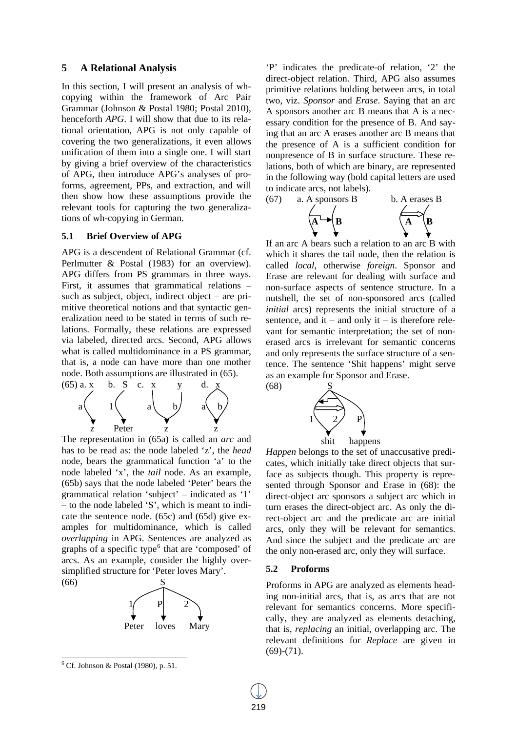#### **5 A Relational Analysis**

In this section, I will present an analysis of whcopying within the framework of Arc Pair Grammar (Johnson & Postal 1980; Postal 2010), henceforth *APG*. I will show that due to its relational orientation, APG is not only capable of covering the two generalizations, it even allows unification of them into a single one. I will start by giving a brief overview of the characteristics of APG, then introduce APG's analyses of proforms, agreement, PPs, and extraction, and will then show how these assumptions provide the relevant tools for capturing the two generalizations of wh-copying in German.

## **5.1 Brief Overview of APG**

APG is a descendent of Relational Grammar (cf. Perlmutter & Postal (1983) for an overview). APG differs from PS grammars in three ways. First, it assumes that grammatical relations – such as subject, object, indirect object – are primitive theoretical notions and that syntactic generalization need to be stated in terms of such relations. Formally, these relations are expressed via labeled, directed arcs. Second, APG allows what is called multidominance in a PS grammar, that is, a node can have more than one mother node. Both assumptions are illustrated in (65).  $(65)$  a. x b. S c. x y d. x



The representation in (65a) is called an *arc* and has to be read as: the node labeled 'z', the *head* node, bears the grammatical function 'a' to the node labeled 'x', the *tail* node. As an example, (65b) says that the node labeled 'Peter' bears the grammatical relation 'subject' – indicated as '1' – to the node labeled 'S', which is meant to indicate the sentence node. (65c) and (65d) give examples for multidominance, which is called *overlapping* in APG. Sentences are analyzed as graphs of a specific type $<sup>6</sup>$  that are 'composed' of</sup> arcs. As an example, consider the highly oversimplified structure for 'Peter loves Mary'.  $(66)$ 



<sup>6</sup> Cf. Johnson & Postal (1980), p. 51.

 $\overline{a}$ 

'P' indicates the predicate-of relation, '2' the direct-object relation. Third, APG also assumes primitive relations holding between arcs, in total two, viz. *Sponsor* and *Erase*. Saying that an arc A sponsors another arc B means that A is a necessary condition for the presence of B. And saying that an arc A erases another arc B means that the presence of A is a sufficient condition for nonpresence of B in surface structure. These relations, both of which are binary, are represented in the following way (bold capital letters are used to indicate arcs, not labels).



If an arc A bears such a relation to an arc B with which it shares the tail node, then the relation is called *local*, otherwise *foreign*. Sponsor and Erase are relevant for dealing with surface and non-surface aspects of sentence structure. In a nutshell, the set of non-sponsored arcs (called *initial* arcs) represents the initial structure of a sentence, and it – and only it – is therefore relevant for semantic interpretation; the set of nonerased arcs is irrelevant for semantic concerns and only represents the surface structure of a sentence. The sentence 'Shit happens' might serve as an example for Sponsor and Erase.  $(68)$ 



*Happen* belongs to the set of unaccusative predicates, which initially take direct objects that surface as subjects though. This property is represented through Sponsor and Erase in (68): the direct-object arc sponsors a subject arc which in turn erases the direct-object arc. As only the direct-object arc and the predicate arc are initial arcs, only they will be relevant for semantics. And since the subject and the predicate arc are the only non-erased arc, only they will surface.

#### **5.2 Proforms**

Proforms in APG are analyzed as elements heading non-initial arcs, that is, as arcs that are not relevant for semantics concerns. More specifically, they are analyzed as elements detaching, that is, *replacing* an initial, overlapping arc. The relevant definitions for *Replace* are given in  $(69)-(71)$ .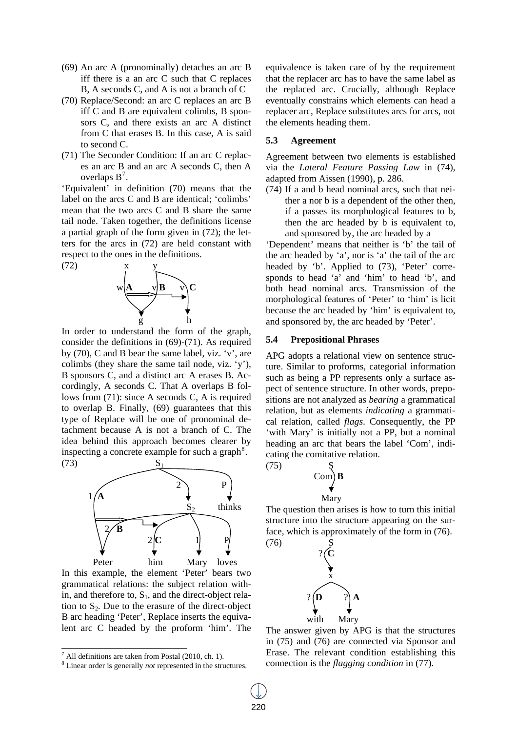- (69) An arc A (pronominally) detaches an arc B iff there is a an arc C such that C replaces B, A seconds C, and A is not a branch of C
- (70) Replace/Second: an arc C replaces an arc B iff C and B are equivalent colimbs, B spon sors C, and there exists an arc A distinct from C that erases B. In this case, A is said to second C.
- (71) The Seconder Condition: If an arc C replac es an arc B and an arc A seconds C, then A overlaps  $B^7$ .

'Equivalent' in definition (70) means that the label on the arcs C and B are identical; 'colimbs' mean that the two arcs C and B share the same tail node. Taken together, the definitions license a partial graph of the form given in (72); the letters for the arcs in (72) are held constant with respect to the ones in the definitions.

 $(72)$ 



In order to understand the form of the graph, consider the definitions in (69)-(71). As required by (70), C and B bear the same label, viz. 'v', are colimbs (they share the same tail node, viz. 'y'), B sponsors C, and a distinct arc A erases B. Accordingly, A seconds C. That A overlaps B follows from (71): since A seconds C, A is required to overlap B. Finally, (69) guarantees that this type of Replace will be one of pronominal detachment because A is not a branch of C. The idea behind this approach becomes clearer by inspecting a concrete example for such a graph<sup>8</sup>.  $(73)$ 



In this example, the element 'Peter' bears two grammatical relations: the subject relation within, and therefore to,  $S_1$ , and the direct-object relation to  $S_2$ . Due to the erasure of the direct-object B arc heading 'Peter', Replace inserts the equivalent arc C headed by the proform 'him'. The

 $\overline{\phantom{a}}$ 

equivalence is taken care of by the requirement that the replacer arc has to have the same label as the replaced arc. Crucially, although Replace eventually constrains which elements can head a replacer arc, Replace substitutes arcs for arcs, not the elements heading them.

## **5.3 Agreement**

Agreement between two elements is established via the *Lateral Feature Passing Law* in (74), adapted from Aissen (1990), p. 286.

(74) If a and b head nominal arcs, such that nei ther a nor b is a dependent of the other then, if a passes its morphological features to b, then the arc headed by b is equivalent to, and sponsored by, the arc headed by a

'Dependent' means that neither is 'b' the tail of the arc headed by 'a', nor is 'a' the tail of the arc headed by 'b'. Applied to (73), 'Peter' corresponds to head 'a' and 'him' to head 'b', and both head nominal arcs. Transmission of the morphological features of 'Peter' to 'him' is licit because the arc headed by 'him' is equivalent to, and sponsored by, the arc headed by 'Peter'.

## **5.4 Prepositional Phrases**

APG adopts a relational view on sentence structure. Similar to proforms, categorial information such as being a PP represents only a surface aspect of sentence structure. In other words, prepositions are not analyzed as *bearing* a grammatical relation, but as elements *indicating* a grammatical relation, called *flags*. Consequently, the PP 'with Mary' is initially not a PP, but a nominal heading an arc that bears the label 'Com', indicating the comitative relation.

> Com **B** Mary

 $(75)$ 

The question then arises is how to turn this initial structure into the structure appearing on the surface, which is approximately of the form in (76).  $(76)$ 



The answer given by APG is that the structures in (75) and (76) are connected via Sponsor and Erase. The relevant condition establishing this connection is the *flagging condition* in (77).

 $^7$  All definitions are taken from Postal (2010, ch. 1).

<sup>8</sup> Linear order is generally *not* represented in the structures.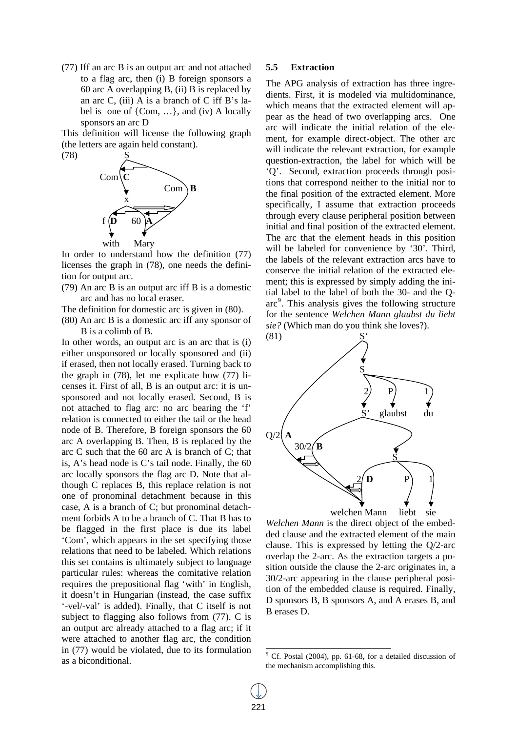(77) Iff an arc B is an output arc and not attached to a flag arc, then (i) B foreign sponsors a 60 arc A overlapping B, (ii) B is replaced by an arc C, (iii) A is a branch of C iff B's la bel is one of {Com, …}, and (iv) A locally sponsors an arc D

This definition will license the following graph (the letters are again held constant).



 $(78)$ 

In order to understand how the definition (77) licenses the graph in (78), one needs the definition for output arc.

(79) An arc B is an output arc iff B is a domestic arc and has no local eraser.

The definition for domestic arc is given in (80).

(80) An arc B is a domestic arc iff any sponsor of B is a colimb of B.

In other words, an output arc is an arc that is (i) either unsponsored or locally sponsored and (ii) if erased, then not locally erased. Turning back to the graph in (78), let me explicate how (77) licenses it. First of all, B is an output arc: it is unsponsored and not locally erased. Second, B is not attached to flag arc: no arc bearing the 'f' relation is connected to either the tail or the head node of B. Therefore, B foreign sponsors the 60 arc A overlapping B. Then, B is replaced by the arc C such that the 60 arc A is branch of C; that is, A's head node is C's tail node. Finally, the 60 arc locally sponsors the flag arc D. Note that although C replaces B, this replace relation is not one of pronominal detachment because in this case, A is a branch of C; but pronominal detachment forbids A to be a branch of C. That B has to be flagged in the first place is due its label 'Com', which appears in the set specifying those relations that need to be labeled. Which relations this set contains is ultimately subject to language particular rules: whereas the comitative relation requires the prepositional flag 'with' in English, it doesn't in Hungarian (instead, the case suffix '-vel/-val' is added). Finally, that C itself is not subject to flagging also follows from (77). C is an output arc already attached to a flag arc; if it were attached to another flag arc, the condition in (77) would be violated, due to its formulation as a biconditional.

## **5.5 Extraction**

The APG analysis of extraction has three ingredients. First, it is modeled via multidominance, which means that the extracted element will appear as the head of two overlapping arcs. One arc will indicate the initial relation of the element, for example direct-object. The other arc will indicate the relevant extraction, for example question-extraction, the label for which will be 'Q'. Second, extraction proceeds through positions that correspond neither to the initial nor to the final position of the extracted element. More specifically, I assume that extraction proceeds through every clause peripheral position between initial and final position of the extracted element. The arc that the element heads in this position will be labeled for convenience by '30'. Third, the labels of the relevant extraction arcs have to conserve the initial relation of the extracted element; this is expressed by simply adding the initial label to the label of both the 30- and the Q- $\arctan^9$ . This analysis gives the following structure for the sentence *Welchen Mann glaubst du liebt sie?* (Which man do you think she loves?).



*Welchen Mann* is the direct object of the embedded clause and the extracted element of the main clause. This is expressed by letting the Q/2-arc overlap the 2-arc. As the extraction targets a position outside the clause the 2-arc originates in, a 30/2-arc appearing in the clause peripheral position of the embedded clause is required. Finally, D sponsors B, B sponsors A, and A erases B, and B erases D.

 $\overline{\phantom{a}}$ 

 $9^9$  Cf. Postal (2004), pp. 61-68, for a detailed discussion of the mechanism accomplishing this.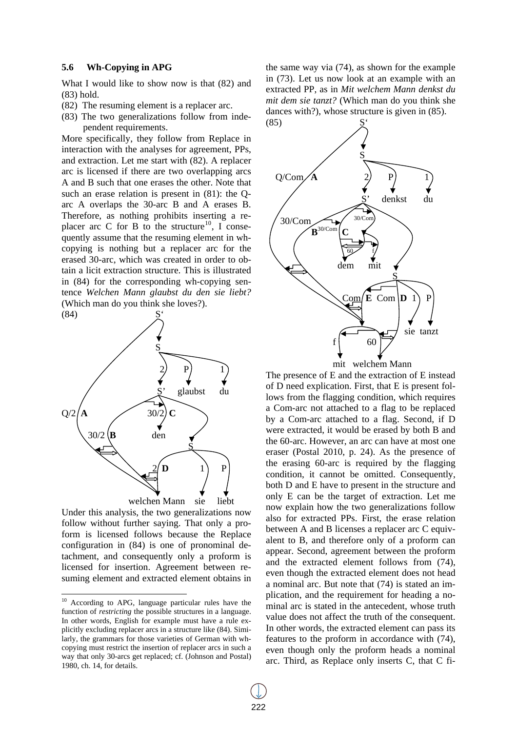## **5.6 Wh-Copying in APG**

What I would like to show now is that (82) and (83) hold.

- (82) The resuming element is a replacer arc.
- (83) The two generalizations follow from inde pendent requirements.

More specifically, they follow from Replace in interaction with the analyses for agreement, PPs, and extraction. Let me start with (82). A replacer arc is licensed if there are two overlapping arcs A and B such that one erases the other. Note that such an erase relation is present in (81): the Qarc A overlaps the 30-arc B and A erases B. Therefore, as nothing prohibits inserting a replacer arc C for B to the structure<sup>10</sup>, I consequently assume that the resuming element in whcopying is nothing but a replacer arc for the erased 30-arc, which was created in order to obtain a licit extraction structure. This is illustrated in (84) for the corresponding wh-copying sentence *Welchen Mann glaubst du den sie liebt?* (Which man do you think she loves?).



Under this analysis, the two generalizations now follow without further saying. That only a proform is licensed follows because the Replace configuration in (84) is one of pronominal detachment, and consequently only a proform is licensed for insertion. Agreement between resuming element and extracted element obtains in

 $\overline{\phantom{a}}$ 

the same way via (74), as shown for the example in (73). Let us now look at an example with an extracted PP, as in *Mit welchem Mann denkst du mit dem sie tanzt?* (Which man do you think she dances with?), whose structure is given in (85).



The presence of E and the extraction of E instead of D need explication. First, that E is present follows from the flagging condition, which requires a Com-arc not attached to a flag to be replaced by a Com-arc attached to a flag. Second, if D were extracted, it would be erased by both B and the 60-arc. However, an arc can have at most one eraser (Postal 2010, p. 24). As the presence of the erasing 60-arc is required by the flagging condition, it cannot be omitted. Consequently, both D and E have to present in the structure and only E can be the target of extraction. Let me now explain how the two generalizations follow also for extracted PPs. First, the erase relation between A and B licenses a replacer arc C equivalent to B, and therefore only of a proform can appear. Second, agreement between the proform and the extracted element follows from (74), even though the extracted element does not head a nominal arc. But note that (74) is stated an implication, and the requirement for heading a nominal arc is stated in the antecedent, whose truth value does not affect the truth of the consequent. In other words, the extracted element can pass its features to the proform in accordance with (74), even though only the proform heads a nominal arc. Third, as Replace only inserts C, that C fi-

<sup>&</sup>lt;sup>10</sup> According to APG, language particular rules have the function of *restricting* the possible structures in a language. In other words, English for example must have a rule explicitly excluding replacer arcs in a structure like (84). Similarly, the grammars for those varieties of German with whcopying must restrict the insertion of replacer arcs in such a way that only 30-arcs get replaced; cf. (Johnson and Postal) 1980, ch. 14, for details.